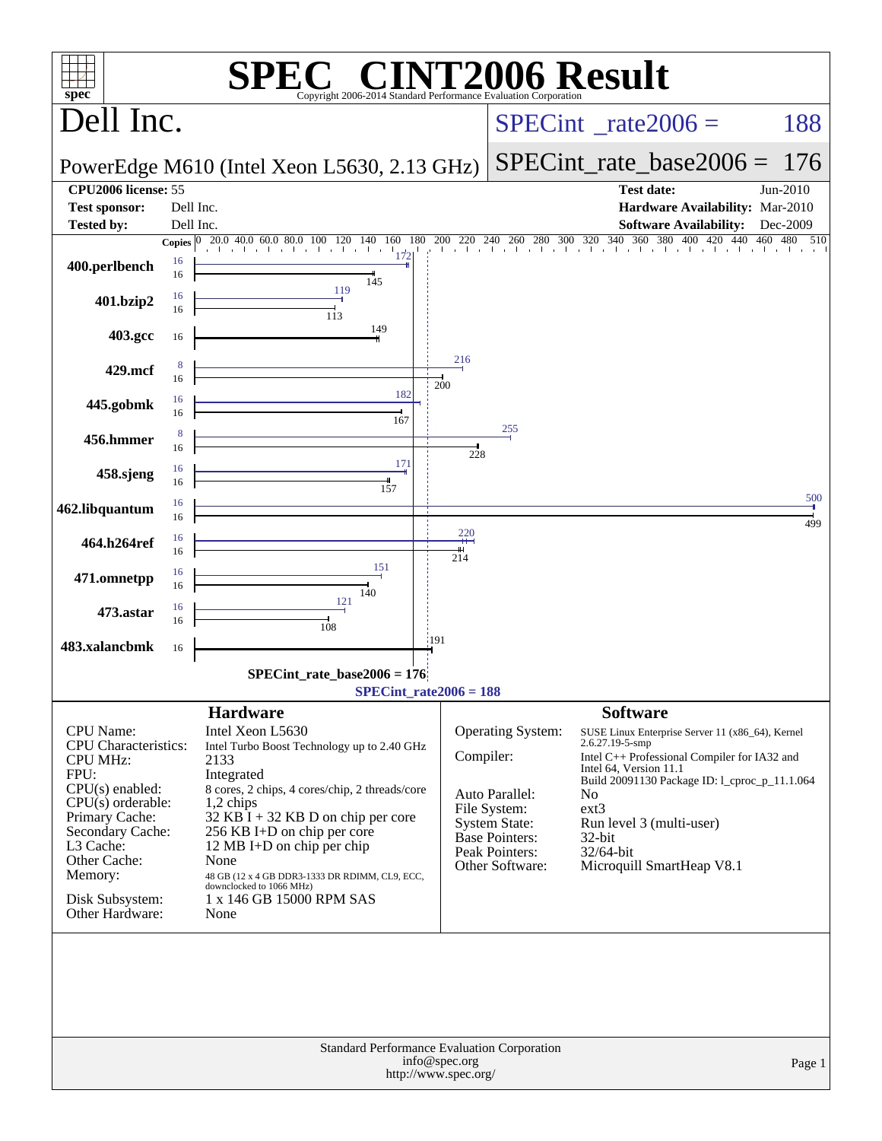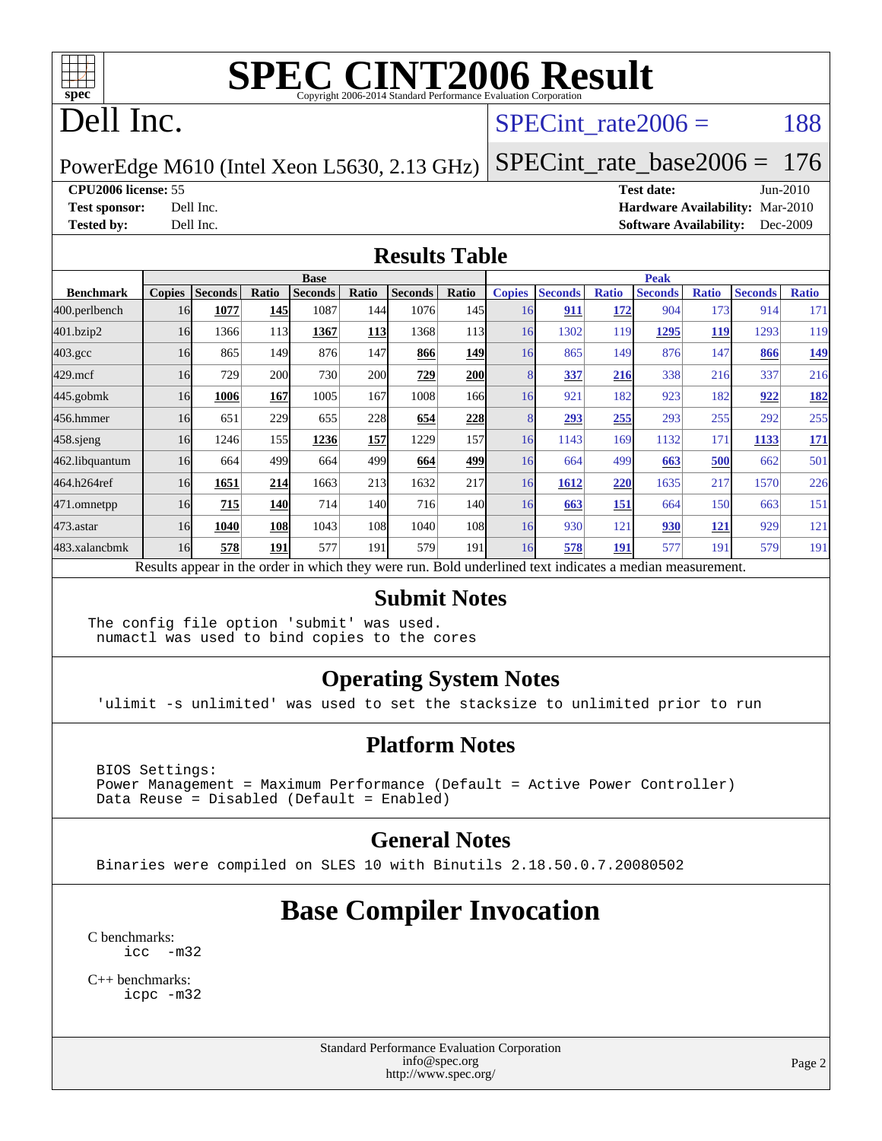

#### Dell Inc.

#### SPECint rate $2006 = 188$

#### PowerEdge M610 (Intel Xeon L5630, 2.13 GHz) [SPECint\\_rate\\_base2006 =](http://www.spec.org/auto/cpu2006/Docs/result-fields.html#SPECintratebase2006) 176

**[CPU2006 license:](http://www.spec.org/auto/cpu2006/Docs/result-fields.html#CPU2006license)** 55 **[Test date:](http://www.spec.org/auto/cpu2006/Docs/result-fields.html#Testdate)** Jun-2010 **[Test sponsor:](http://www.spec.org/auto/cpu2006/Docs/result-fields.html#Testsponsor)** Dell Inc. **[Hardware Availability:](http://www.spec.org/auto/cpu2006/Docs/result-fields.html#HardwareAvailability)** Mar-2010 **[Tested by:](http://www.spec.org/auto/cpu2006/Docs/result-fields.html#Testedby)** Dell Inc. **[Software Availability:](http://www.spec.org/auto/cpu2006/Docs/result-fields.html#SoftwareAvailability)** Dec-2009

#### **[Results Table](http://www.spec.org/auto/cpu2006/Docs/result-fields.html#ResultsTable)**

|                    | <b>Base</b>   |                |            |                                                                                                          |            |                |              | <b>Peak</b>   |                |              |                |              |                |              |
|--------------------|---------------|----------------|------------|----------------------------------------------------------------------------------------------------------|------------|----------------|--------------|---------------|----------------|--------------|----------------|--------------|----------------|--------------|
| <b>Benchmark</b>   | <b>Copies</b> | <b>Seconds</b> | Ratio      | <b>Seconds</b>                                                                                           | Ratio      | <b>Seconds</b> | Ratio        | <b>Copies</b> | <b>Seconds</b> | <b>Ratio</b> | <b>Seconds</b> | <b>Ratio</b> | <b>Seconds</b> | <b>Ratio</b> |
| 400.perlbench      | 16            | 1077           | 145        | 1087                                                                                                     | 144        | 1076           | 145          | 16            | 911            | 172          | 904            | 173          | 914            | 171          |
| 401.bzip2          | 16            | 1366           | 113        | 1367                                                                                                     | <b>113</b> | 1368           | 113          | 16            | 1302           | 119          | <u> 1295 </u>  | <u>119</u>   | 1293           | 119          |
| $403.\mathrm{gcc}$ | 16            | 865            | 149        | 876                                                                                                      | 147        | 866            | 149          | 16            | 865            | 149          | 876            | 147          | 866            | <u>149</u>   |
| $429$ .mcf         | 16            | 729            | 200        | 730                                                                                                      | <b>200</b> | 729            | <b>200</b>   |               | 337            | 216          | 338            | 216          | 337            | 216          |
| $445$ .gobmk       | 16            | 1006           | 167        | 1005                                                                                                     | 167        | 1008           | 166I         | 16            | 921            | 182          | 923            | 182          | 922            | <u>182</u>   |
| 456.hmmer          | 16            | 651            | 229        | 655                                                                                                      | 228        | 654            | 228          |               | 293            | 255          | 293            | 255          | 292            | 255          |
| $458$ .sjeng       | 16            | 1246           | 155        | 1236                                                                                                     | 157        | 1229           | 157          | 16            | 1143           | 169          | 1132           | 171          | 1133           | <u>171</u>   |
| 462.libquantum     | 16            | 664            | 499        | 664                                                                                                      | 499        | 664            | 499          | 16            | 664            | 499          | 663            | 500          | 662            | 501          |
| 464.h264ref        | 16            | 1651           | 214        | 1663                                                                                                     | 213        | 1632           | 217          | 16            | 1612           | 220          | 1635           | 217          | 1570           | 226          |
| 471.omnetpp        | 16            | 715            | <b>140</b> | 714                                                                                                      | 140        | 716            | 140 <b>I</b> | 16            | 663            | 151          | 664            | 150          | 663            | 151          |
| $473$ . astar      | 16            | 1040           | 108        | 1043                                                                                                     | 108        | 1040           | 108          | 16            | 930            | 121          | 930            | 121          | 929            | 121          |
| 483.xalancbmk      | 16            | 578            | 191        | 577                                                                                                      | 191        | 579            | 191          | 16            | 578            | 191          | 577            | 191          | 579            | 191          |
|                    |               |                |            | Results appear in the order in which they were run. Bold underlined text indicates a median measurement. |            |                |              |               |                |              |                |              |                |              |

#### **[Submit Notes](http://www.spec.org/auto/cpu2006/Docs/result-fields.html#SubmitNotes)**

The config file option 'submit' was used. numactl was used to bind copies to the cores

#### **[Operating System Notes](http://www.spec.org/auto/cpu2006/Docs/result-fields.html#OperatingSystemNotes)**

'ulimit -s unlimited' was used to set the stacksize to unlimited prior to run

#### **[Platform Notes](http://www.spec.org/auto/cpu2006/Docs/result-fields.html#PlatformNotes)**

 BIOS Settings: Power Management = Maximum Performance (Default = Active Power Controller) Data Reuse = Disabled (Default = Enabled)

#### **[General Notes](http://www.spec.org/auto/cpu2006/Docs/result-fields.html#GeneralNotes)**

Binaries were compiled on SLES 10 with Binutils 2.18.50.0.7.20080502

#### **[Base Compiler Invocation](http://www.spec.org/auto/cpu2006/Docs/result-fields.html#BaseCompilerInvocation)**

[C benchmarks](http://www.spec.org/auto/cpu2006/Docs/result-fields.html#Cbenchmarks): [icc -m32](http://www.spec.org/cpu2006/results/res2010q3/cpu2006-20100719-12606.flags.html#user_CCbase_intel_icc_32bit_5ff4a39e364c98233615fdd38438c6f2)

[C++ benchmarks:](http://www.spec.org/auto/cpu2006/Docs/result-fields.html#CXXbenchmarks) [icpc -m32](http://www.spec.org/cpu2006/results/res2010q3/cpu2006-20100719-12606.flags.html#user_CXXbase_intel_icpc_32bit_4e5a5ef1a53fd332b3c49e69c3330699)

> Standard Performance Evaluation Corporation [info@spec.org](mailto:info@spec.org) <http://www.spec.org/>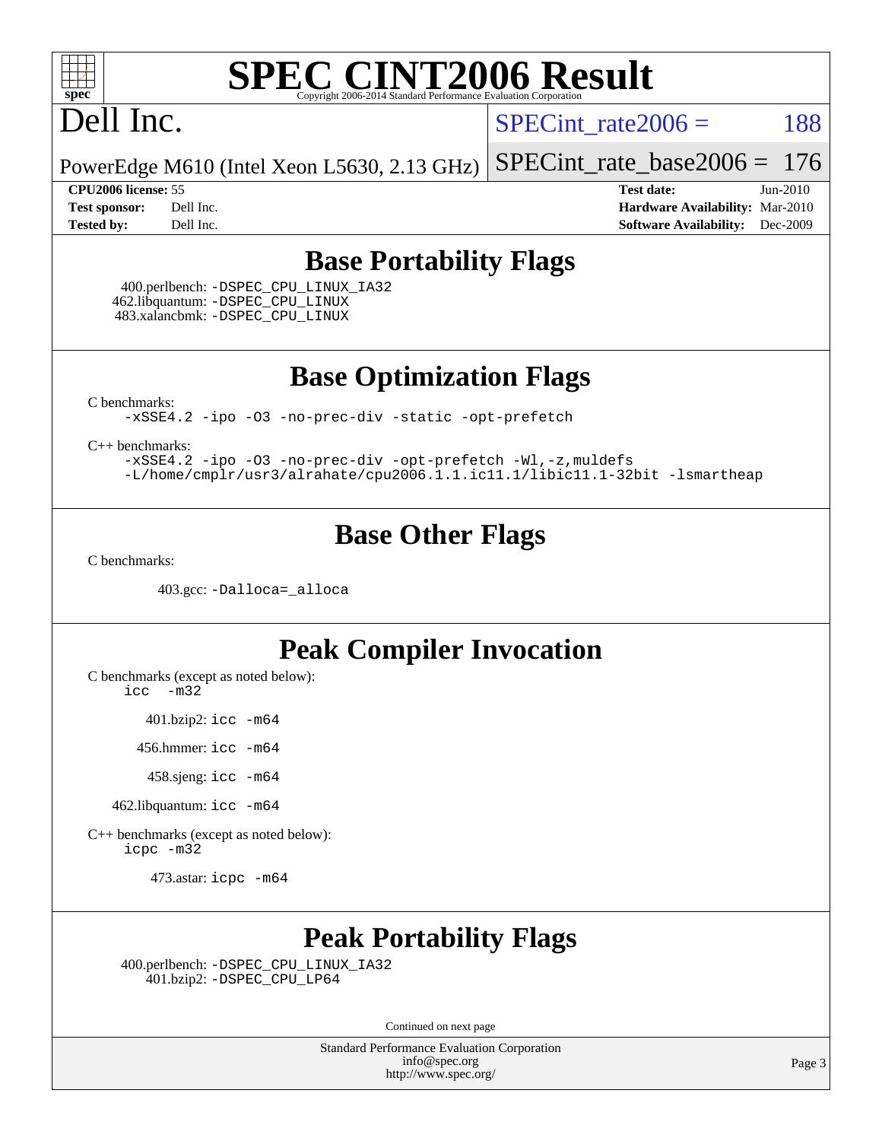

#### Dell Inc.

SPECint rate $2006 = 188$ 

PowerEdge M610 (Intel Xeon L5630, 2.13 GHz) [SPECint\\_rate\\_base2006 =](http://www.spec.org/auto/cpu2006/Docs/result-fields.html#SPECintratebase2006) 176

**[CPU2006 license:](http://www.spec.org/auto/cpu2006/Docs/result-fields.html#CPU2006license)** 55 **[Test date:](http://www.spec.org/auto/cpu2006/Docs/result-fields.html#Testdate)** Jun-2010 **[Test sponsor:](http://www.spec.org/auto/cpu2006/Docs/result-fields.html#Testsponsor)** Dell Inc. **[Hardware Availability:](http://www.spec.org/auto/cpu2006/Docs/result-fields.html#HardwareAvailability)** Mar-2010 **[Tested by:](http://www.spec.org/auto/cpu2006/Docs/result-fields.html#Testedby)** Dell Inc. **[Software Availability:](http://www.spec.org/auto/cpu2006/Docs/result-fields.html#SoftwareAvailability)** Dec-2009

#### **[Base Portability Flags](http://www.spec.org/auto/cpu2006/Docs/result-fields.html#BasePortabilityFlags)**

 400.perlbench: [-DSPEC\\_CPU\\_LINUX\\_IA32](http://www.spec.org/cpu2006/results/res2010q3/cpu2006-20100719-12606.flags.html#b400.perlbench_baseCPORTABILITY_DSPEC_CPU_LINUX_IA32) 462.libquantum: [-DSPEC\\_CPU\\_LINUX](http://www.spec.org/cpu2006/results/res2010q3/cpu2006-20100719-12606.flags.html#b462.libquantum_baseCPORTABILITY_DSPEC_CPU_LINUX) 483.xalancbmk: [-DSPEC\\_CPU\\_LINUX](http://www.spec.org/cpu2006/results/res2010q3/cpu2006-20100719-12606.flags.html#b483.xalancbmk_baseCXXPORTABILITY_DSPEC_CPU_LINUX)

**[Base Optimization Flags](http://www.spec.org/auto/cpu2006/Docs/result-fields.html#BaseOptimizationFlags)**

[C benchmarks](http://www.spec.org/auto/cpu2006/Docs/result-fields.html#Cbenchmarks):

[-xSSE4.2](http://www.spec.org/cpu2006/results/res2010q3/cpu2006-20100719-12606.flags.html#user_CCbase_f-xSSE42_f91528193cf0b216347adb8b939d4107) [-ipo](http://www.spec.org/cpu2006/results/res2010q3/cpu2006-20100719-12606.flags.html#user_CCbase_f-ipo) [-O3](http://www.spec.org/cpu2006/results/res2010q3/cpu2006-20100719-12606.flags.html#user_CCbase_f-O3) [-no-prec-div](http://www.spec.org/cpu2006/results/res2010q3/cpu2006-20100719-12606.flags.html#user_CCbase_f-no-prec-div) [-static](http://www.spec.org/cpu2006/results/res2010q3/cpu2006-20100719-12606.flags.html#user_CCbase_f-static) [-opt-prefetch](http://www.spec.org/cpu2006/results/res2010q3/cpu2006-20100719-12606.flags.html#user_CCbase_f-opt-prefetch)

[C++ benchmarks:](http://www.spec.org/auto/cpu2006/Docs/result-fields.html#CXXbenchmarks)

[-xSSE4.2](http://www.spec.org/cpu2006/results/res2010q3/cpu2006-20100719-12606.flags.html#user_CXXbase_f-xSSE42_f91528193cf0b216347adb8b939d4107) [-ipo](http://www.spec.org/cpu2006/results/res2010q3/cpu2006-20100719-12606.flags.html#user_CXXbase_f-ipo) [-O3](http://www.spec.org/cpu2006/results/res2010q3/cpu2006-20100719-12606.flags.html#user_CXXbase_f-O3) [-no-prec-div](http://www.spec.org/cpu2006/results/res2010q3/cpu2006-20100719-12606.flags.html#user_CXXbase_f-no-prec-div) [-opt-prefetch](http://www.spec.org/cpu2006/results/res2010q3/cpu2006-20100719-12606.flags.html#user_CXXbase_f-opt-prefetch) [-Wl,-z,muldefs](http://www.spec.org/cpu2006/results/res2010q3/cpu2006-20100719-12606.flags.html#user_CXXbase_link_force_multiple1_74079c344b956b9658436fd1b6dd3a8a) [-L/home/cmplr/usr3/alrahate/cpu2006.1.1.ic11.1/libic11.1-32bit -lsmartheap](http://www.spec.org/cpu2006/results/res2010q3/cpu2006-20100719-12606.flags.html#user_CXXbase_SmartHeap_d86dffe4a79b79ef8890d5cce17030c3)

#### **[Base Other Flags](http://www.spec.org/auto/cpu2006/Docs/result-fields.html#BaseOtherFlags)**

[C benchmarks](http://www.spec.org/auto/cpu2006/Docs/result-fields.html#Cbenchmarks):

403.gcc: [-Dalloca=\\_alloca](http://www.spec.org/cpu2006/results/res2010q3/cpu2006-20100719-12606.flags.html#b403.gcc_baseEXTRA_CFLAGS_Dalloca_be3056838c12de2578596ca5467af7f3)

#### **[Peak Compiler Invocation](http://www.spec.org/auto/cpu2006/Docs/result-fields.html#PeakCompilerInvocation)**

[C benchmarks \(except as noted below\)](http://www.spec.org/auto/cpu2006/Docs/result-fields.html#Cbenchmarksexceptasnotedbelow):

[icc -m32](http://www.spec.org/cpu2006/results/res2010q3/cpu2006-20100719-12606.flags.html#user_CCpeak_intel_icc_32bit_5ff4a39e364c98233615fdd38438c6f2)

401.bzip2: [icc -m64](http://www.spec.org/cpu2006/results/res2010q3/cpu2006-20100719-12606.flags.html#user_peakCCLD401_bzip2_intel_icc_64bit_bda6cc9af1fdbb0edc3795bac97ada53)

456.hmmer: [icc -m64](http://www.spec.org/cpu2006/results/res2010q3/cpu2006-20100719-12606.flags.html#user_peakCCLD456_hmmer_intel_icc_64bit_bda6cc9af1fdbb0edc3795bac97ada53)

458.sjeng: [icc -m64](http://www.spec.org/cpu2006/results/res2010q3/cpu2006-20100719-12606.flags.html#user_peakCCLD458_sjeng_intel_icc_64bit_bda6cc9af1fdbb0edc3795bac97ada53)

462.libquantum: [icc -m64](http://www.spec.org/cpu2006/results/res2010q3/cpu2006-20100719-12606.flags.html#user_peakCCLD462_libquantum_intel_icc_64bit_bda6cc9af1fdbb0edc3795bac97ada53)

[C++ benchmarks \(except as noted below\):](http://www.spec.org/auto/cpu2006/Docs/result-fields.html#CXXbenchmarksexceptasnotedbelow) [icpc -m32](http://www.spec.org/cpu2006/results/res2010q3/cpu2006-20100719-12606.flags.html#user_CXXpeak_intel_icpc_32bit_4e5a5ef1a53fd332b3c49e69c3330699)

473.astar: [icpc -m64](http://www.spec.org/cpu2006/results/res2010q3/cpu2006-20100719-12606.flags.html#user_peakCXXLD473_astar_intel_icpc_64bit_fc66a5337ce925472a5c54ad6a0de310)

#### **[Peak Portability Flags](http://www.spec.org/auto/cpu2006/Docs/result-fields.html#PeakPortabilityFlags)**

 400.perlbench: [-DSPEC\\_CPU\\_LINUX\\_IA32](http://www.spec.org/cpu2006/results/res2010q3/cpu2006-20100719-12606.flags.html#b400.perlbench_peakCPORTABILITY_DSPEC_CPU_LINUX_IA32) 401.bzip2: [-DSPEC\\_CPU\\_LP64](http://www.spec.org/cpu2006/results/res2010q3/cpu2006-20100719-12606.flags.html#suite_peakCPORTABILITY401_bzip2_DSPEC_CPU_LP64)

Continued on next page

Standard Performance Evaluation Corporation [info@spec.org](mailto:info@spec.org) <http://www.spec.org/>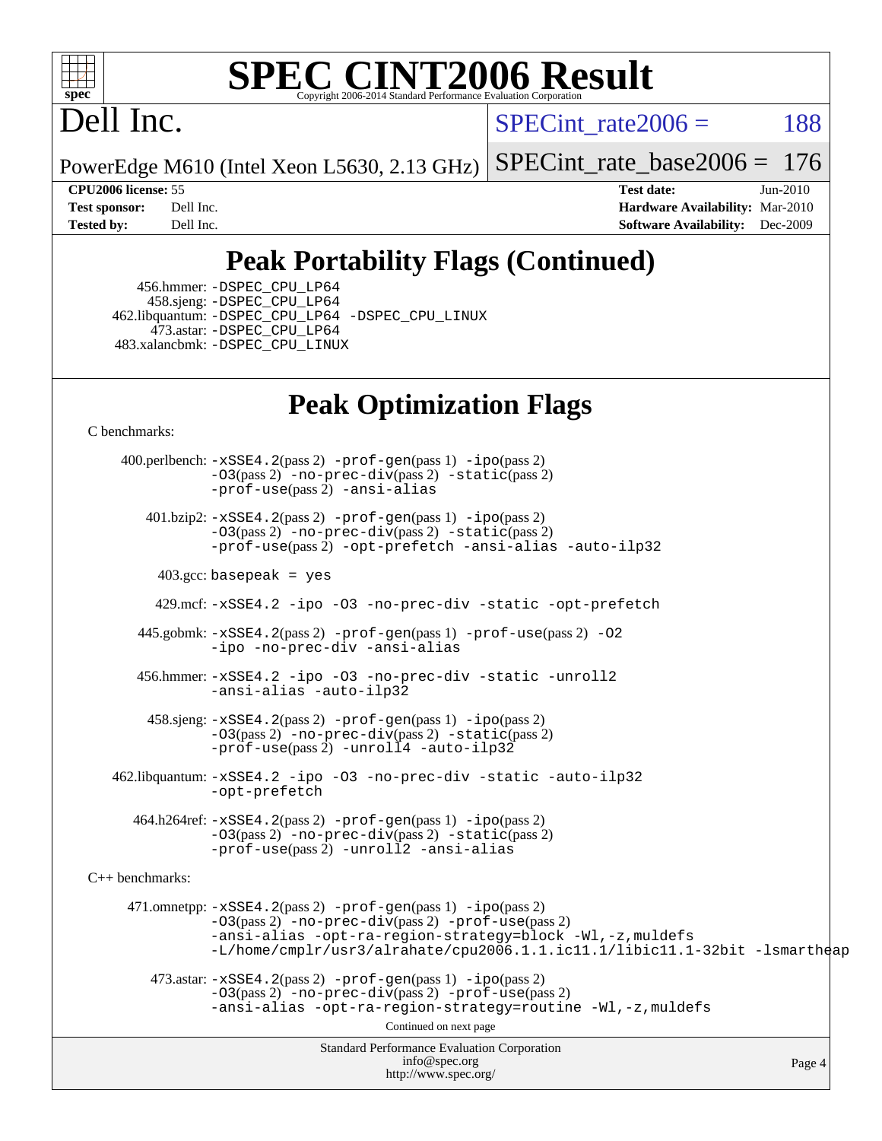

### Dell Inc.

SPECint rate $2006 = 188$ 

PowerEdge M610 (Intel Xeon L5630, 2.13 GHz) [SPECint\\_rate\\_base2006 =](http://www.spec.org/auto/cpu2006/Docs/result-fields.html#SPECintratebase2006) 176

**[CPU2006 license:](http://www.spec.org/auto/cpu2006/Docs/result-fields.html#CPU2006license)** 55 **[Test date:](http://www.spec.org/auto/cpu2006/Docs/result-fields.html#Testdate)** Jun-2010 **[Test sponsor:](http://www.spec.org/auto/cpu2006/Docs/result-fields.html#Testsponsor)** Dell Inc. **[Hardware Availability:](http://www.spec.org/auto/cpu2006/Docs/result-fields.html#HardwareAvailability)** Mar-2010 **[Tested by:](http://www.spec.org/auto/cpu2006/Docs/result-fields.html#Testedby)** Dell Inc. **[Software Availability:](http://www.spec.org/auto/cpu2006/Docs/result-fields.html#SoftwareAvailability)** Dec-2009

#### **[Peak Portability Flags \(Continued\)](http://www.spec.org/auto/cpu2006/Docs/result-fields.html#PeakPortabilityFlags)**

 456.hmmer: [-DSPEC\\_CPU\\_LP64](http://www.spec.org/cpu2006/results/res2010q3/cpu2006-20100719-12606.flags.html#suite_peakCPORTABILITY456_hmmer_DSPEC_CPU_LP64) 458.sjeng: [-DSPEC\\_CPU\\_LP64](http://www.spec.org/cpu2006/results/res2010q3/cpu2006-20100719-12606.flags.html#suite_peakCPORTABILITY458_sjeng_DSPEC_CPU_LP64) 462.libquantum: [-DSPEC\\_CPU\\_LP64](http://www.spec.org/cpu2006/results/res2010q3/cpu2006-20100719-12606.flags.html#suite_peakCPORTABILITY462_libquantum_DSPEC_CPU_LP64) [-DSPEC\\_CPU\\_LINUX](http://www.spec.org/cpu2006/results/res2010q3/cpu2006-20100719-12606.flags.html#b462.libquantum_peakCPORTABILITY_DSPEC_CPU_LINUX) 473.astar: [-DSPEC\\_CPU\\_LP64](http://www.spec.org/cpu2006/results/res2010q3/cpu2006-20100719-12606.flags.html#suite_peakCXXPORTABILITY473_astar_DSPEC_CPU_LP64) 483.xalancbmk: [-DSPEC\\_CPU\\_LINUX](http://www.spec.org/cpu2006/results/res2010q3/cpu2006-20100719-12606.flags.html#b483.xalancbmk_peakCXXPORTABILITY_DSPEC_CPU_LINUX)

#### **[Peak Optimization Flags](http://www.spec.org/auto/cpu2006/Docs/result-fields.html#PeakOptimizationFlags)**

[C benchmarks](http://www.spec.org/auto/cpu2006/Docs/result-fields.html#Cbenchmarks):

Standard Performance Evaluation Corporation [info@spec.org](mailto:info@spec.org) <http://www.spec.org/> Page 4 400.perlbench: [-xSSE4.2](http://www.spec.org/cpu2006/results/res2010q3/cpu2006-20100719-12606.flags.html#user_peakPASS2_CFLAGSPASS2_LDCFLAGS400_perlbench_f-xSSE42_f91528193cf0b216347adb8b939d4107)(pass 2) [-prof-gen](http://www.spec.org/cpu2006/results/res2010q3/cpu2006-20100719-12606.flags.html#user_peakPASS1_CFLAGSPASS1_LDCFLAGS400_perlbench_prof_gen_e43856698f6ca7b7e442dfd80e94a8fc)(pass 1) [-ipo](http://www.spec.org/cpu2006/results/res2010q3/cpu2006-20100719-12606.flags.html#user_peakPASS2_CFLAGSPASS2_LDCFLAGS400_perlbench_f-ipo)(pass 2) [-O3](http://www.spec.org/cpu2006/results/res2010q3/cpu2006-20100719-12606.flags.html#user_peakPASS2_CFLAGSPASS2_LDCFLAGS400_perlbench_f-O3)(pass 2) [-no-prec-div](http://www.spec.org/cpu2006/results/res2010q3/cpu2006-20100719-12606.flags.html#user_peakPASS2_CFLAGSPASS2_LDCFLAGS400_perlbench_f-no-prec-div)(pass 2) [-static](http://www.spec.org/cpu2006/results/res2010q3/cpu2006-20100719-12606.flags.html#user_peakPASS2_CFLAGSPASS2_LDCFLAGS400_perlbench_f-static)(pass 2) [-prof-use](http://www.spec.org/cpu2006/results/res2010q3/cpu2006-20100719-12606.flags.html#user_peakPASS2_CFLAGSPASS2_LDCFLAGS400_perlbench_prof_use_bccf7792157ff70d64e32fe3e1250b55)(pass 2) [-ansi-alias](http://www.spec.org/cpu2006/results/res2010q3/cpu2006-20100719-12606.flags.html#user_peakCOPTIMIZE400_perlbench_f-ansi-alias) 401.bzip2: [-xSSE4.2](http://www.spec.org/cpu2006/results/res2010q3/cpu2006-20100719-12606.flags.html#user_peakPASS2_CFLAGSPASS2_LDCFLAGS401_bzip2_f-xSSE42_f91528193cf0b216347adb8b939d4107)(pass 2) [-prof-gen](http://www.spec.org/cpu2006/results/res2010q3/cpu2006-20100719-12606.flags.html#user_peakPASS1_CFLAGSPASS1_LDCFLAGS401_bzip2_prof_gen_e43856698f6ca7b7e442dfd80e94a8fc)(pass 1) [-ipo](http://www.spec.org/cpu2006/results/res2010q3/cpu2006-20100719-12606.flags.html#user_peakPASS2_CFLAGSPASS2_LDCFLAGS401_bzip2_f-ipo)(pass 2) [-O3](http://www.spec.org/cpu2006/results/res2010q3/cpu2006-20100719-12606.flags.html#user_peakPASS2_CFLAGSPASS2_LDCFLAGS401_bzip2_f-O3)(pass 2) [-no-prec-div](http://www.spec.org/cpu2006/results/res2010q3/cpu2006-20100719-12606.flags.html#user_peakPASS2_CFLAGSPASS2_LDCFLAGS401_bzip2_f-no-prec-div)(pass 2) [-static](http://www.spec.org/cpu2006/results/res2010q3/cpu2006-20100719-12606.flags.html#user_peakPASS2_CFLAGSPASS2_LDCFLAGS401_bzip2_f-static)(pass 2) [-prof-use](http://www.spec.org/cpu2006/results/res2010q3/cpu2006-20100719-12606.flags.html#user_peakPASS2_CFLAGSPASS2_LDCFLAGS401_bzip2_prof_use_bccf7792157ff70d64e32fe3e1250b55)(pass 2) [-opt-prefetch](http://www.spec.org/cpu2006/results/res2010q3/cpu2006-20100719-12606.flags.html#user_peakCOPTIMIZE401_bzip2_f-opt-prefetch) [-ansi-alias](http://www.spec.org/cpu2006/results/res2010q3/cpu2006-20100719-12606.flags.html#user_peakCOPTIMIZE401_bzip2_f-ansi-alias) [-auto-ilp32](http://www.spec.org/cpu2006/results/res2010q3/cpu2006-20100719-12606.flags.html#user_peakCOPTIMIZE401_bzip2_f-auto-ilp32)  $403.\text{gcc: basepeak}$  = yes 429.mcf: [-xSSE4.2](http://www.spec.org/cpu2006/results/res2010q3/cpu2006-20100719-12606.flags.html#user_peakCOPTIMIZE429_mcf_f-xSSE42_f91528193cf0b216347adb8b939d4107) [-ipo](http://www.spec.org/cpu2006/results/res2010q3/cpu2006-20100719-12606.flags.html#user_peakCOPTIMIZE429_mcf_f-ipo) [-O3](http://www.spec.org/cpu2006/results/res2010q3/cpu2006-20100719-12606.flags.html#user_peakCOPTIMIZE429_mcf_f-O3) [-no-prec-div](http://www.spec.org/cpu2006/results/res2010q3/cpu2006-20100719-12606.flags.html#user_peakCOPTIMIZE429_mcf_f-no-prec-div) [-static](http://www.spec.org/cpu2006/results/res2010q3/cpu2006-20100719-12606.flags.html#user_peakCOPTIMIZE429_mcf_f-static) [-opt-prefetch](http://www.spec.org/cpu2006/results/res2010q3/cpu2006-20100719-12606.flags.html#user_peakCOPTIMIZE429_mcf_f-opt-prefetch) 445.gobmk: [-xSSE4.2](http://www.spec.org/cpu2006/results/res2010q3/cpu2006-20100719-12606.flags.html#user_peakPASS2_CFLAGSPASS2_LDCFLAGS445_gobmk_f-xSSE42_f91528193cf0b216347adb8b939d4107)(pass 2) [-prof-gen](http://www.spec.org/cpu2006/results/res2010q3/cpu2006-20100719-12606.flags.html#user_peakPASS1_CFLAGSPASS1_LDCFLAGS445_gobmk_prof_gen_e43856698f6ca7b7e442dfd80e94a8fc)(pass 1) [-prof-use](http://www.spec.org/cpu2006/results/res2010q3/cpu2006-20100719-12606.flags.html#user_peakPASS2_CFLAGSPASS2_LDCFLAGS445_gobmk_prof_use_bccf7792157ff70d64e32fe3e1250b55)(pass 2) [-O2](http://www.spec.org/cpu2006/results/res2010q3/cpu2006-20100719-12606.flags.html#user_peakCOPTIMIZE445_gobmk_f-O2) [-ipo](http://www.spec.org/cpu2006/results/res2010q3/cpu2006-20100719-12606.flags.html#user_peakCOPTIMIZE445_gobmk_f-ipo) [-no-prec-div](http://www.spec.org/cpu2006/results/res2010q3/cpu2006-20100719-12606.flags.html#user_peakCOPTIMIZE445_gobmk_f-no-prec-div) [-ansi-alias](http://www.spec.org/cpu2006/results/res2010q3/cpu2006-20100719-12606.flags.html#user_peakCOPTIMIZE445_gobmk_f-ansi-alias) 456.hmmer: [-xSSE4.2](http://www.spec.org/cpu2006/results/res2010q3/cpu2006-20100719-12606.flags.html#user_peakCOPTIMIZE456_hmmer_f-xSSE42_f91528193cf0b216347adb8b939d4107) [-ipo](http://www.spec.org/cpu2006/results/res2010q3/cpu2006-20100719-12606.flags.html#user_peakCOPTIMIZE456_hmmer_f-ipo) [-O3](http://www.spec.org/cpu2006/results/res2010q3/cpu2006-20100719-12606.flags.html#user_peakCOPTIMIZE456_hmmer_f-O3) [-no-prec-div](http://www.spec.org/cpu2006/results/res2010q3/cpu2006-20100719-12606.flags.html#user_peakCOPTIMIZE456_hmmer_f-no-prec-div) [-static](http://www.spec.org/cpu2006/results/res2010q3/cpu2006-20100719-12606.flags.html#user_peakCOPTIMIZE456_hmmer_f-static) [-unroll2](http://www.spec.org/cpu2006/results/res2010q3/cpu2006-20100719-12606.flags.html#user_peakCOPTIMIZE456_hmmer_f-unroll_784dae83bebfb236979b41d2422d7ec2) [-ansi-alias](http://www.spec.org/cpu2006/results/res2010q3/cpu2006-20100719-12606.flags.html#user_peakCOPTIMIZE456_hmmer_f-ansi-alias) [-auto-ilp32](http://www.spec.org/cpu2006/results/res2010q3/cpu2006-20100719-12606.flags.html#user_peakCOPTIMIZE456_hmmer_f-auto-ilp32) 458.sjeng: [-xSSE4.2](http://www.spec.org/cpu2006/results/res2010q3/cpu2006-20100719-12606.flags.html#user_peakPASS2_CFLAGSPASS2_LDCFLAGS458_sjeng_f-xSSE42_f91528193cf0b216347adb8b939d4107)(pass 2) [-prof-gen](http://www.spec.org/cpu2006/results/res2010q3/cpu2006-20100719-12606.flags.html#user_peakPASS1_CFLAGSPASS1_LDCFLAGS458_sjeng_prof_gen_e43856698f6ca7b7e442dfd80e94a8fc)(pass 1) [-ipo](http://www.spec.org/cpu2006/results/res2010q3/cpu2006-20100719-12606.flags.html#user_peakPASS2_CFLAGSPASS2_LDCFLAGS458_sjeng_f-ipo)(pass 2) [-O3](http://www.spec.org/cpu2006/results/res2010q3/cpu2006-20100719-12606.flags.html#user_peakPASS2_CFLAGSPASS2_LDCFLAGS458_sjeng_f-O3)(pass 2) [-no-prec-div](http://www.spec.org/cpu2006/results/res2010q3/cpu2006-20100719-12606.flags.html#user_peakPASS2_CFLAGSPASS2_LDCFLAGS458_sjeng_f-no-prec-div)(pass 2) [-static](http://www.spec.org/cpu2006/results/res2010q3/cpu2006-20100719-12606.flags.html#user_peakPASS2_CFLAGSPASS2_LDCFLAGS458_sjeng_f-static)(pass 2) [-prof-use](http://www.spec.org/cpu2006/results/res2010q3/cpu2006-20100719-12606.flags.html#user_peakPASS2_CFLAGSPASS2_LDCFLAGS458_sjeng_prof_use_bccf7792157ff70d64e32fe3e1250b55)(pass 2) [-unroll4](http://www.spec.org/cpu2006/results/res2010q3/cpu2006-20100719-12606.flags.html#user_peakCOPTIMIZE458_sjeng_f-unroll_4e5e4ed65b7fd20bdcd365bec371b81f) [-auto-ilp32](http://www.spec.org/cpu2006/results/res2010q3/cpu2006-20100719-12606.flags.html#user_peakCOPTIMIZE458_sjeng_f-auto-ilp32) 462.libquantum: [-xSSE4.2](http://www.spec.org/cpu2006/results/res2010q3/cpu2006-20100719-12606.flags.html#user_peakCOPTIMIZE462_libquantum_f-xSSE42_f91528193cf0b216347adb8b939d4107) [-ipo](http://www.spec.org/cpu2006/results/res2010q3/cpu2006-20100719-12606.flags.html#user_peakCOPTIMIZE462_libquantum_f-ipo) [-O3](http://www.spec.org/cpu2006/results/res2010q3/cpu2006-20100719-12606.flags.html#user_peakCOPTIMIZE462_libquantum_f-O3) [-no-prec-div](http://www.spec.org/cpu2006/results/res2010q3/cpu2006-20100719-12606.flags.html#user_peakCOPTIMIZE462_libquantum_f-no-prec-div) [-static](http://www.spec.org/cpu2006/results/res2010q3/cpu2006-20100719-12606.flags.html#user_peakCOPTIMIZE462_libquantum_f-static) [-auto-ilp32](http://www.spec.org/cpu2006/results/res2010q3/cpu2006-20100719-12606.flags.html#user_peakCOPTIMIZE462_libquantum_f-auto-ilp32) [-opt-prefetch](http://www.spec.org/cpu2006/results/res2010q3/cpu2006-20100719-12606.flags.html#user_peakCOPTIMIZE462_libquantum_f-opt-prefetch) 464.h264ref: [-xSSE4.2](http://www.spec.org/cpu2006/results/res2010q3/cpu2006-20100719-12606.flags.html#user_peakPASS2_CFLAGSPASS2_LDCFLAGS464_h264ref_f-xSSE42_f91528193cf0b216347adb8b939d4107)(pass 2) [-prof-gen](http://www.spec.org/cpu2006/results/res2010q3/cpu2006-20100719-12606.flags.html#user_peakPASS1_CFLAGSPASS1_LDCFLAGS464_h264ref_prof_gen_e43856698f6ca7b7e442dfd80e94a8fc)(pass 1) [-ipo](http://www.spec.org/cpu2006/results/res2010q3/cpu2006-20100719-12606.flags.html#user_peakPASS2_CFLAGSPASS2_LDCFLAGS464_h264ref_f-ipo)(pass 2) [-O3](http://www.spec.org/cpu2006/results/res2010q3/cpu2006-20100719-12606.flags.html#user_peakPASS2_CFLAGSPASS2_LDCFLAGS464_h264ref_f-O3)(pass 2) [-no-prec-div](http://www.spec.org/cpu2006/results/res2010q3/cpu2006-20100719-12606.flags.html#user_peakPASS2_CFLAGSPASS2_LDCFLAGS464_h264ref_f-no-prec-div)(pass 2) [-static](http://www.spec.org/cpu2006/results/res2010q3/cpu2006-20100719-12606.flags.html#user_peakPASS2_CFLAGSPASS2_LDCFLAGS464_h264ref_f-static)(pass 2) [-prof-use](http://www.spec.org/cpu2006/results/res2010q3/cpu2006-20100719-12606.flags.html#user_peakPASS2_CFLAGSPASS2_LDCFLAGS464_h264ref_prof_use_bccf7792157ff70d64e32fe3e1250b55)(pass 2) [-unroll2](http://www.spec.org/cpu2006/results/res2010q3/cpu2006-20100719-12606.flags.html#user_peakCOPTIMIZE464_h264ref_f-unroll_784dae83bebfb236979b41d2422d7ec2) [-ansi-alias](http://www.spec.org/cpu2006/results/res2010q3/cpu2006-20100719-12606.flags.html#user_peakCOPTIMIZE464_h264ref_f-ansi-alias) [C++ benchmarks:](http://www.spec.org/auto/cpu2006/Docs/result-fields.html#CXXbenchmarks) 471.omnetpp: [-xSSE4.2](http://www.spec.org/cpu2006/results/res2010q3/cpu2006-20100719-12606.flags.html#user_peakPASS2_CXXFLAGSPASS2_LDCXXFLAGS471_omnetpp_f-xSSE42_f91528193cf0b216347adb8b939d4107)(pass 2) [-prof-gen](http://www.spec.org/cpu2006/results/res2010q3/cpu2006-20100719-12606.flags.html#user_peakPASS1_CXXFLAGSPASS1_LDCXXFLAGS471_omnetpp_prof_gen_e43856698f6ca7b7e442dfd80e94a8fc)(pass 1) [-ipo](http://www.spec.org/cpu2006/results/res2010q3/cpu2006-20100719-12606.flags.html#user_peakPASS2_CXXFLAGSPASS2_LDCXXFLAGS471_omnetpp_f-ipo)(pass 2) [-O3](http://www.spec.org/cpu2006/results/res2010q3/cpu2006-20100719-12606.flags.html#user_peakPASS2_CXXFLAGSPASS2_LDCXXFLAGS471_omnetpp_f-O3)(pass 2) [-no-prec-div](http://www.spec.org/cpu2006/results/res2010q3/cpu2006-20100719-12606.flags.html#user_peakPASS2_CXXFLAGSPASS2_LDCXXFLAGS471_omnetpp_f-no-prec-div)(pass 2) [-prof-use](http://www.spec.org/cpu2006/results/res2010q3/cpu2006-20100719-12606.flags.html#user_peakPASS2_CXXFLAGSPASS2_LDCXXFLAGS471_omnetpp_prof_use_bccf7792157ff70d64e32fe3e1250b55)(pass 2) [-ansi-alias](http://www.spec.org/cpu2006/results/res2010q3/cpu2006-20100719-12606.flags.html#user_peakCXXOPTIMIZE471_omnetpp_f-ansi-alias) [-opt-ra-region-strategy=block](http://www.spec.org/cpu2006/results/res2010q3/cpu2006-20100719-12606.flags.html#user_peakCXXOPTIMIZE471_omnetpp_f-opt-ra-region-strategy-block_a0a37c372d03933b2a18d4af463c1f69) [-Wl,-z,muldefs](http://www.spec.org/cpu2006/results/res2010q3/cpu2006-20100719-12606.flags.html#user_peakEXTRA_LDFLAGS471_omnetpp_link_force_multiple1_74079c344b956b9658436fd1b6dd3a8a) [-L/home/cmplr/usr3/alrahate/cpu2006.1.1.ic11.1/libic11.1-32bit -lsmartheap](http://www.spec.org/cpu2006/results/res2010q3/cpu2006-20100719-12606.flags.html#user_peakEXTRA_LIBS471_omnetpp_SmartHeap_d86dffe4a79b79ef8890d5cce17030c3)  $473.\text{astar: } -xSSE4$ .  $2(\text{pass 2})$   $-\text{prof-gen}(\text{pass 1})$   $-i\text{po}(\text{pass 2})$ [-O3](http://www.spec.org/cpu2006/results/res2010q3/cpu2006-20100719-12606.flags.html#user_peakPASS2_CXXFLAGSPASS2_LDCXXFLAGS473_astar_f-O3)(pass 2) [-no-prec-div](http://www.spec.org/cpu2006/results/res2010q3/cpu2006-20100719-12606.flags.html#user_peakPASS2_CXXFLAGSPASS2_LDCXXFLAGS473_astar_f-no-prec-div)(pass 2) [-prof-use](http://www.spec.org/cpu2006/results/res2010q3/cpu2006-20100719-12606.flags.html#user_peakPASS2_CXXFLAGSPASS2_LDCXXFLAGS473_astar_prof_use_bccf7792157ff70d64e32fe3e1250b55)(pass 2) [-ansi-alias](http://www.spec.org/cpu2006/results/res2010q3/cpu2006-20100719-12606.flags.html#user_peakCXXOPTIMIZE473_astar_f-ansi-alias) [-opt-ra-region-strategy=routine](http://www.spec.org/cpu2006/results/res2010q3/cpu2006-20100719-12606.flags.html#user_peakCXXOPTIMIZE473_astar_f-opt-ra-region-strategy-routine_ba086ea3b1d46a52e1238e2ca173ed44) [-Wl,-z,muldefs](http://www.spec.org/cpu2006/results/res2010q3/cpu2006-20100719-12606.flags.html#user_peakEXTRA_LDFLAGS473_astar_link_force_multiple1_74079c344b956b9658436fd1b6dd3a8a) Continued on next page